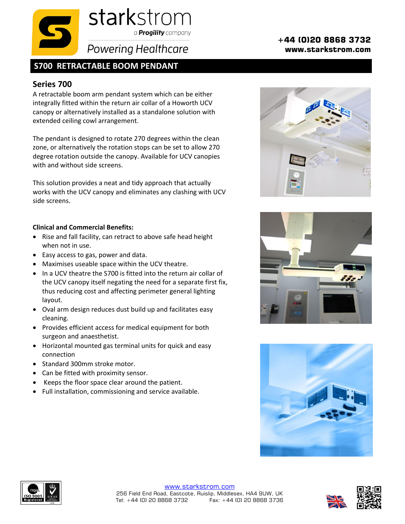

## **S700 RETRACTABLE BOOM PENDANT**

## **Series 700**

A retractable boom arm pendant system which can be either integrally fitted within the return air collar of a Howorth UCV canopy or alternatively installed as a standalone solution with extended ceiling cowl arrangement.

The pendant is designed to rotate 270 degrees within the clean zone, or alternatively the rotation stops can be set to allow 270 degree rotation outside the canopy. Available for UCV canopies with and without side screens.

This solution provides a neat and tidy approach that actually works with the UCV canopy and eliminates any clashing with UCV side screens.

## **Clinical and Commercial Benefits:**

- Rise and fall facility, can retract to above safe head height when not in use.
- Easy access to gas, power and data.
- Maximises useable space within the UCV theatre.
- In a UCV theatre the S700 is fitted into the return air collar of the UCV canopy itself negating the need for a separate first fix, thus reducing cost and affecting perimeter general lighting layout.
- Oval arm design reduces dust build up and facilitates easy cleaning.
- Provides efficient access for medical equipment for both surgeon and anaesthetist.
- Horizontal mounted gas terminal units for quick and easy connection
- Standard 300mm stroke motor.
- Can be fitted with proximity sensor.
- Keeps the floor space clear around the patient.
- Full installation, commissioning and service available.

## **+44 (0)20 8868 3732 www.starkstrom.com**